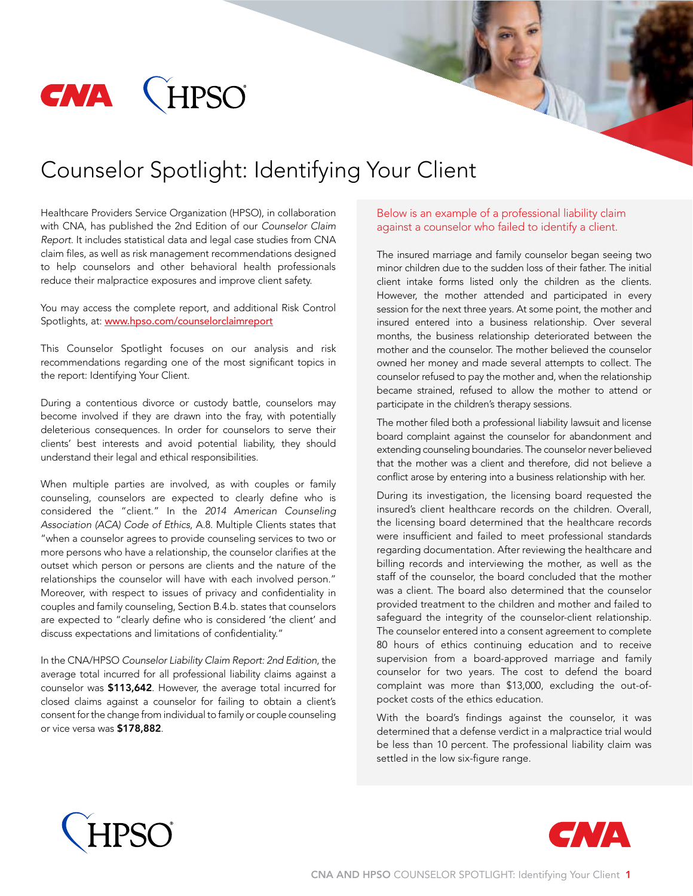

# Counselor Spotlight: Identifying Your Client

Healthcare Providers Service Organization (HPSO), in collaboration with CNA, has published the 2nd Edition of our *Counselor Claim Report*. It includes statistical data and legal case studies from CNA claim files, as well as risk management recommendations designed to help counselors and other behavioral health professionals reduce their malpractice exposures and improve client safety.

You may access the complete report, and additional Risk Control Spotlights, at: www.hpso.com/counselorclaimreport

This Counselor Spotlight focuses on our analysis and risk recommendations regarding one of the most significant topics in the report: Identifying Your Client.

During a contentious divorce or custody battle, counselors may become involved if they are drawn into the fray, with potentially deleterious consequences. In order for counselors to serve their clients' best interests and avoid potential liability, they should understand their legal and ethical responsibilities.

When multiple parties are involved, as with couples or family counseling, counselors are expected to clearly define who is considered the "client." In the *2014 American Counseling Association (ACA) Code of Ethics*, A.8. Multiple Clients states that "when a counselor agrees to provide counseling services to two or more persons who have a relationship, the counselor clarifies at the outset which person or persons are clients and the nature of the relationships the counselor will have with each involved person." Moreover, with respect to issues of privacy and confidentiality in couples and family counseling, Section B.4.b. states that counselors are expected to "clearly define who is considered 'the client' and discuss expectations and limitations of confidentiality."

In the CNA/HPSO *Counselor Liability Claim Report: 2nd Edition*, the average total incurred for all professional liability claims against a counselor was \$113,642. However, the average total incurred for closed claims against a counselor for failing to obtain a client's consent for the change from individual to family or couple counseling or vice versa was \$178,882.

#### Below is an example of a professional liability claim against a counselor who failed to identify a client.

The insured marriage and family counselor began seeing two minor children due to the sudden loss of their father. The initial client intake forms listed only the children as the clients. However, the mother attended and participated in every session for the next three years. At some point, the mother and insured entered into a business relationship. Over several months, the business relationship deteriorated between the mother and the counselor. The mother believed the counselor owned her money and made several attempts to collect. The counselor refused to pay the mother and, when the relationship became strained, refused to allow the mother to attend or participate in the children's therapy sessions.

The mother filed both a professional liability lawsuit and license board complaint against the counselor for abandonment and extending counseling boundaries. The counselor never believed that the mother was a client and therefore, did not believe a conflict arose by entering into a business relationship with her.

During its investigation, the licensing board requested the insured's client healthcare records on the children. Overall, the licensing board determined that the healthcare records were insufficient and failed to meet professional standards regarding documentation. After reviewing the healthcare and billing records and interviewing the mother, as well as the staff of the counselor, the board concluded that the mother was a client. The board also determined that the counselor provided treatment to the children and mother and failed to safeguard the integrity of the counselor-client relationship. The counselor entered into a consent agreement to complete 80 hours of ethics continuing education and to receive supervision from a board-approved marriage and family counselor for two years. The cost to defend the board complaint was more than \$13,000, excluding the out-ofpocket costs of the ethics education.

With the board's findings against the counselor, it was determined that a defense verdict in a malpractice trial would be less than 10 percent. The professional liability claim was settled in the low six-figure range.



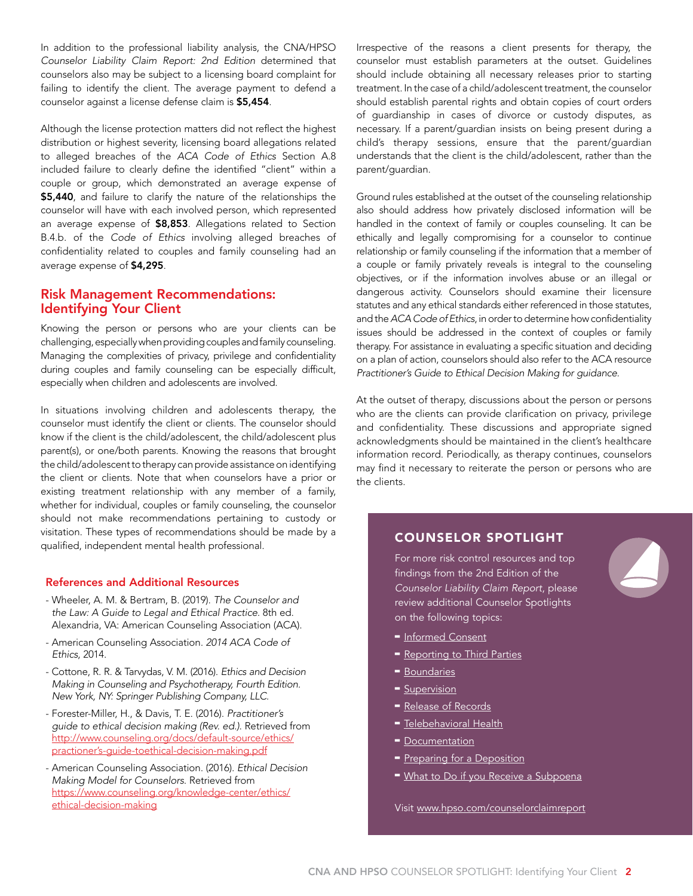In addition to the professional liability analysis, the CNA/HPSO *Counselor Liability Claim Report: 2nd Edition* determined that counselors also may be subject to a licensing board complaint for failing to identify the client. The average payment to defend a counselor against a license defense claim is \$5,454.

Although the license protection matters did not reflect the highest distribution or highest severity, licensing board allegations related to alleged breaches of the *ACA Code of Ethics* Section A.8 included failure to clearly define the identified "client" within a couple or group, which demonstrated an average expense of \$5,440, and failure to clarify the nature of the relationships the counselor will have with each involved person, which represented an average expense of \$8,853. Allegations related to Section B.4.b. of the *Code of Ethics* involving alleged breaches of confidentiality related to couples and family counseling had an average expense of \$4,295.

## Risk Management Recommendations: Identifying Your Client

Knowing the person or persons who are your clients can be challenging, especially when providing couples and family counseling. Managing the complexities of privacy, privilege and confidentiality during couples and family counseling can be especially difficult, especially when children and adolescents are involved.

In situations involving children and adolescents therapy, the counselor must identify the client or clients. The counselor should know if the client is the child/adolescent, the child/adolescent plus parent(s), or one/both parents. Knowing the reasons that brought the child/adolescent to therapy can provide assistance on identifying the client or clients. Note that when counselors have a prior or existing treatment relationship with any member of a family, whether for individual, couples or family counseling, the counselor should not make recommendations pertaining to custody or visitation. These types of recommendations should be made by a qualified, independent mental health professional.

#### References and Additional Resources

- Wheeler, A. M. & Bertram, B. (2019). *The Counselor and the Law: A Guide to Legal and Ethical Practice*. 8th ed. Alexandria, VA: American Counseling Association (ACA).
- American Counseling Association. *2014 ACA Code of Ethics*, 2014.
- Cottone, R. R. & Tarvydas, V. M. (2016). *Ethics and Decision Making in Counseling and Psychotherapy, Fourth Edition. New York, NY: Springer Publishing Company, LLC.*
- Forester-Miller, H., & Davis, T. E. (2016). *Practitioner's guide to ethical decision making (Rev. ed.)*. Retrieved from http://www.counseling.org/docs/default-source/ethics/ practioner's-guide-toethical-decision-making.pdf
- American Counseling Association. (2016). *Ethical Decision Making Model for Counselors*. Retrieved from https://www.counseling.org/knowledge-center/ethics/ ethical-decision-making

Irrespective of the reasons a client presents for therapy, the counselor must establish parameters at the outset. Guidelines should include obtaining all necessary releases prior to starting treatment. In the case of a child/adolescent treatment, the counselor should establish parental rights and obtain copies of court orders of guardianship in cases of divorce or custody disputes, as necessary. If a parent/guardian insists on being present during a child's therapy sessions, ensure that the parent/guardian understands that the client is the child/adolescent, rather than the parent/guardian.

Ground rules established at the outset of the counseling relationship also should address how privately disclosed information will be handled in the context of family or couples counseling. It can be ethically and legally compromising for a counselor to continue relationship or family counseling if the information that a member of a couple or family privately reveals is integral to the counseling objectives, or if the information involves abuse or an illegal or dangerous activity. Counselors should examine their licensure statutes and any ethical standards either referenced in those statutes, and the *ACA Code of Ethics*, in order to determine how confidentiality issues should be addressed in the context of couples or family therapy. For assistance in evaluating a specific situation and deciding on a plan of action, counselors should also refer to the ACA resource *Practitioner's Guide to Ethical Decision Making for guidance.*

At the outset of therapy, discussions about the person or persons who are the clients can provide clarification on privacy, privilege and confidentiality. These discussions and appropriate signed acknowledgments should be maintained in the client's healthcare information record. Periodically, as therapy continues, counselors may find it necessary to reiterate the person or persons who are the clients.

## COUNSELOR SPOTLIGHT

For more risk control resources and top findings from the 2nd Edition of the *Counselor Liability Claim Report*, please review additional Counselor Spotlights on the following topics:



- [Informed Consent](http://www.hpso.com/counselorclaimreport_informedconsent)
- [Reporting to Third Parties](http://www.hpso.com/counselorclaimreport_thirdparties)
- [Boundaries](http://www.hpso.com/counselorclaimreport_boundaries)
- [Supervision](http://www.hpso.com/counselorclaimreport_supervision)
- [Release of Records](http://www.hpso.com/counselorclaimreport_records)
- **-** [Telebehavioral Health](https://www.hpso.com/counselorclaimreport_telebehavioralhealth)
- $\blacksquare$  [Documentation](http://www.hpso.com/counselorclaimreport_documentation)
- [Preparing for a Deposition](http://www.hpso.com/counselorclaimreport_preparedepo)
- [What to Do if you Receive a Subpoena](http://www.hpso.com/counselorclaimreport_subpoena)

Visit www.hpso.com/counselorclaimreport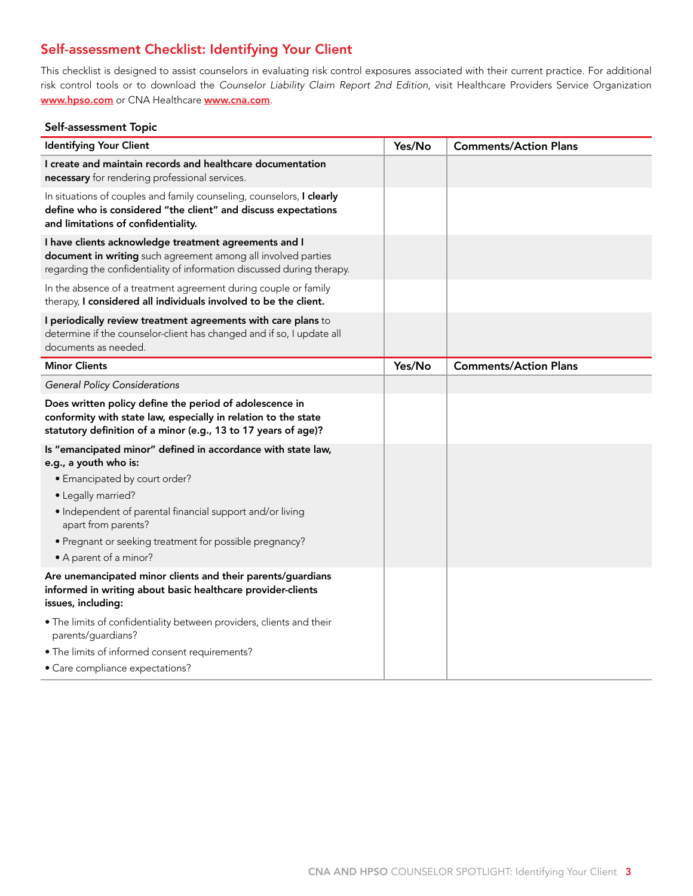# Self-assessment Checklist: Identifying Your Client

This checklist is designed to assist counselors in evaluating risk control exposures associated with their current practice. For additional risk control tools or to download the *Counselor Liability Claim Report 2nd Edition*, visit Healthcare Providers Service Organization www.hpso.com or CNA Healthcare www.cna.com.

### Self-assessment Topic

| <b>Identifying Your Client</b>                                                                                                                                                                   | Yes/No | <b>Comments/Action Plans</b> |
|--------------------------------------------------------------------------------------------------------------------------------------------------------------------------------------------------|--------|------------------------------|
| I create and maintain records and healthcare documentation<br>necessary for rendering professional services.                                                                                     |        |                              |
| In situations of couples and family counseling, counselors, I clearly<br>define who is considered "the client" and discuss expectations<br>and limitations of confidentiality.                   |        |                              |
| I have clients acknowledge treatment agreements and I<br>document in writing such agreement among all involved parties<br>regarding the confidentiality of information discussed during therapy. |        |                              |
| In the absence of a treatment agreement during couple or family<br>therapy, I considered all individuals involved to be the client.                                                              |        |                              |
| I periodically review treatment agreements with care plans to<br>determine if the counselor-client has changed and if so, I update all<br>documents as needed.                                   |        |                              |
| <b>Minor Clients</b>                                                                                                                                                                             | Yes/No | <b>Comments/Action Plans</b> |
| <b>General Policy Considerations</b>                                                                                                                                                             |        |                              |
| Does written policy define the period of adolescence in<br>conformity with state law, especially in relation to the state<br>statutory definition of a minor (e.g., 13 to 17 years of age)?      |        |                              |
| Is "emancipated minor" defined in accordance with state law,<br>e.g., a youth who is:                                                                                                            |        |                              |
| • Emancipated by court order?                                                                                                                                                                    |        |                              |
| • Legally married?                                                                                                                                                                               |        |                              |
| • Independent of parental financial support and/or living<br>apart from parents?                                                                                                                 |        |                              |
| • Pregnant or seeking treatment for possible pregnancy?                                                                                                                                          |        |                              |
| • A parent of a minor?                                                                                                                                                                           |        |                              |
| Are unemancipated minor clients and their parents/guardians<br>informed in writing about basic healthcare provider-clients<br>issues, including:                                                 |        |                              |
| . The limits of confidentiality between providers, clients and their<br>parents/guardians?                                                                                                       |        |                              |
| · The limits of informed consent requirements?                                                                                                                                                   |        |                              |
| · Care compliance expectations?                                                                                                                                                                  |        |                              |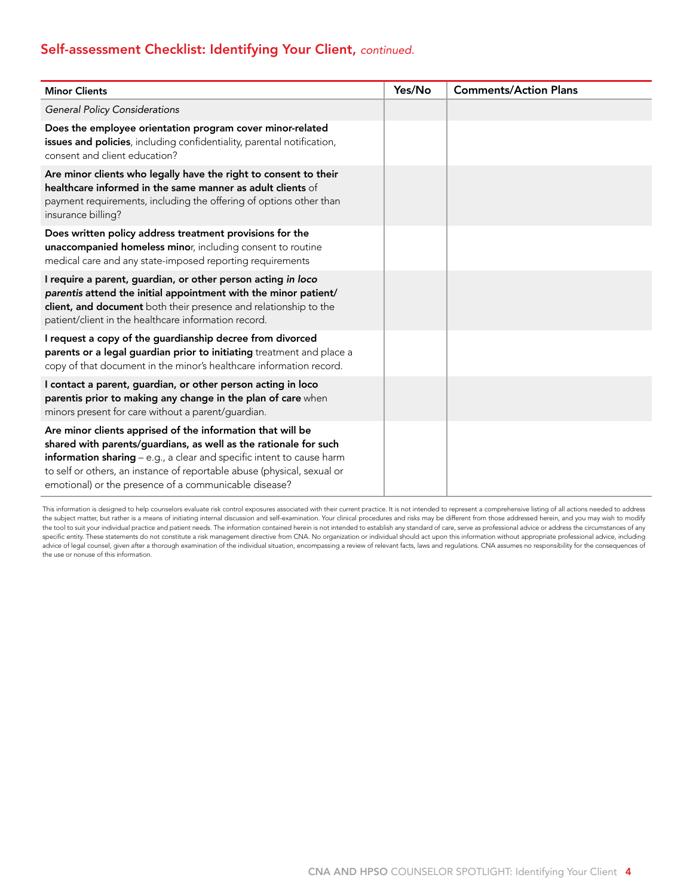# Self-assessment Checklist: Identifying Your Client, *continued.*

| <b>Minor Clients</b>                                                                                                                                                                                                                                                                                                                        | Yes/No | <b>Comments/Action Plans</b> |
|---------------------------------------------------------------------------------------------------------------------------------------------------------------------------------------------------------------------------------------------------------------------------------------------------------------------------------------------|--------|------------------------------|
| <b>General Policy Considerations</b>                                                                                                                                                                                                                                                                                                        |        |                              |
| Does the employee orientation program cover minor-related<br>issues and policies, including confidentiality, parental notification,<br>consent and client education?                                                                                                                                                                        |        |                              |
| Are minor clients who legally have the right to consent to their<br>healthcare informed in the same manner as adult clients of<br>payment requirements, including the offering of options other than<br>insurance billing?                                                                                                                  |        |                              |
| Does written policy address treatment provisions for the<br>unaccompanied homeless minor, including consent to routine<br>medical care and any state-imposed reporting requirements                                                                                                                                                         |        |                              |
| I require a parent, guardian, or other person acting in loco<br>parentis attend the initial appointment with the minor patient/<br>client, and document both their presence and relationship to the<br>patient/client in the healthcare information record.                                                                                 |        |                              |
| I request a copy of the guardianship decree from divorced<br>parents or a legal guardian prior to initiating treatment and place a<br>copy of that document in the minor's healthcare information record.                                                                                                                                   |        |                              |
| I contact a parent, guardian, or other person acting in loco<br>parentis prior to making any change in the plan of care when<br>minors present for care without a parent/guardian.                                                                                                                                                          |        |                              |
| Are minor clients apprised of the information that will be<br>shared with parents/guardians, as well as the rationale for such<br>information sharing - e.g., a clear and specific intent to cause harm<br>to self or others, an instance of reportable abuse (physical, sexual or<br>emotional) or the presence of a communicable disease? |        |                              |

This information is designed to help counselors evaluate risk control exposures associated with their current practice. It is not intended to represent a comprehensive listing of all actions needed to address the subject matter, but rather is a means of initiating internal discussion and self-examination. Your clinical procedures and risks may be different from those addressed herein, and you may wish to modify the tool to suit your individual practice and patient needs. The information contained herein is not intended to establish any standard of care, serve as professional advice or address the circumstances of any specific entity. These statements do not constitute a risk management directive from CNA. No organization or individual should act upon this information without appropriate professional advice, including advice of legal counsel, given after a thorough examination of the individual situation, encompassing a review of relevant facts, laws and regulations. CNA assumes no responsibility for the consequences of the use or nonuse of this information.